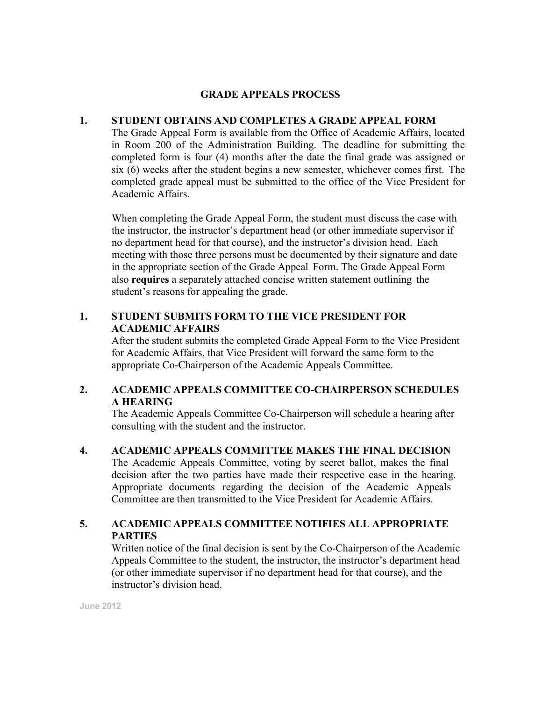#### **GRADE APPEALS PROCESS**

#### **1. STUDENT OBTAINS AND COMPLETES A GRADE APPEAL FORM**

The Grade Appeal Form is available from the Office of Academic Affairs, located in Room 200 of the Administration Building. The deadline for submitting the completed form is four (4) months after the date the final grade was assigned or six (6) weeks after the student begins a new semester, whichever comes first. The completed grade appeal must be submitted to the office of the Vice President for Academic Affairs.

When completing the Grade Appeal Form, the student must discuss the case with the instructor, the instructor's department head (or other immediate supervisor if no department head for that course), and the instructor's division head. Each meeting with those three persons must be documented by their signature and date in the appropriate section of the Grade Appeal Form. The Grade Appeal Form also **requires** a separately attached concise written statement outlining the student's reasons for appealing the grade.

### **1. STUDENT SUBMITS FORM TO THE VICE PRESIDENT FOR ACADEMIC AFFAIRS**

After the student submits the completed Grade Appeal Form to the Vice President for Academic Affairs, that Vice President will forward the same form to the appropriate Co-Chairperson of the Academic Appeals Committee.

## **2. ACADEMIC APPEALS COMMITTEE CO-CHAIRPERSON SCHEDULES A HEARING**

The Academic Appeals Committee Co-Chairperson will schedule a hearing after consulting with the student and the instructor.

**4. ACADEMIC APPEALS COMMITTEE MAKES THE FINAL DECISION**  The Academic Appeals Committee, voting by secret ballot, makes the final decision after the two parties have made their respective case in the hearing. Appropriate documents regarding the decision of the Academic Appeals Committee are then transmitted to the Vice President for Academic Affairs.

## **5. ACADEMIC APPEALS COMMITTEE NOTIFIES ALL APPROPRIATE PARTIES**

Written notice of the final decision is sent by the Co-Chairperson of the Academic Appeals Committee to the student, the instructor, the instructor's department head (or other immediate supervisor if no department head for that course), and the instructor's division head.

**June 2012**